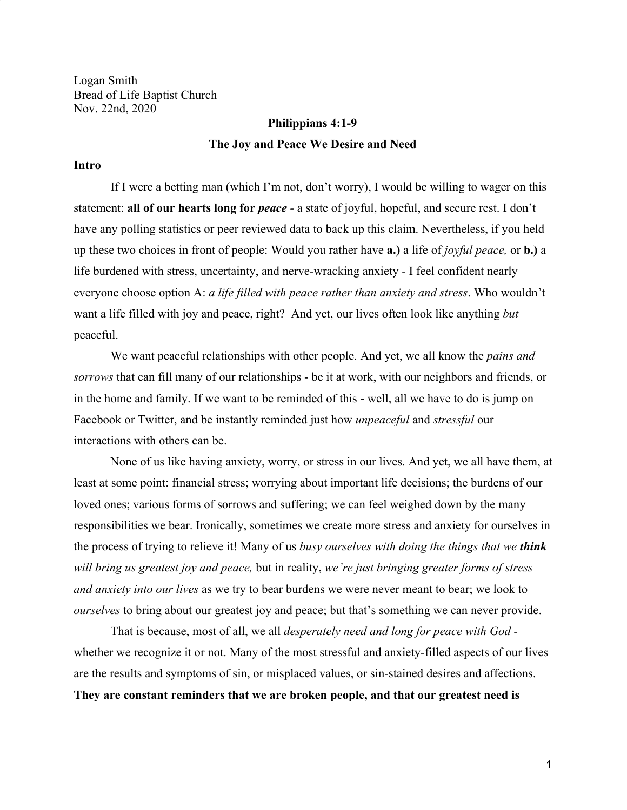Logan Smith Bread of Life Baptist Church Nov. 22nd, 2020

# **Philippians 4:1-9 The Joy and Peace We Desire and Need**

#### **Intro**

If I were a betting man (which I'm not, don't worry), I would be willing to wager on this statement: **all of our hearts long for** *peace -* a state of joyful, hopeful, and secure rest. I don't have any polling statistics or peer reviewed data to back up this claim. Nevertheless, if you held up these two choices in front of people: Would you rather have **a.)** a life of *joyful peace,* or **b.)** a life burdened with stress, uncertainty, and nerve-wracking anxiety - I feel confident nearly everyone choose option A: *a life filled with peace rather than anxiety and stress*. Who wouldn't want a life filled with joy and peace, right? And yet, our lives often look like anything *but* peaceful.

We want peaceful relationships with other people. And yet, we all know the *pains and sorrows* that can fill many of our relationships - be it at work, with our neighbors and friends, or in the home and family. If we want to be reminded of this - well, all we have to do is jump on Facebook or Twitter, and be instantly reminded just how *unpeaceful* and *stressful* our interactions with others can be.

None of us like having anxiety, worry, or stress in our lives. And yet, we all have them, at least at some point: financial stress; worrying about important life decisions; the burdens of our loved ones; various forms of sorrows and suffering; we can feel weighed down by the many responsibilities we bear. Ironically, sometimes we create more stress and anxiety for ourselves in the process of trying to relieve it! Many of us *busy ourselves with doing the things that we think will bring us greatest joy and peace,* but in reality, *we're just bringing greater forms of stress and anxiety into our lives* as we try to bear burdens we were never meant to bear; we look to *ourselves* to bring about our greatest joy and peace; but that's something we can never provide.

That is because, most of all, we all *desperately need and long for peace with God*  whether we recognize it or not. Many of the most stressful and anxiety-filled aspects of our lives are the results and symptoms of sin, or misplaced values, or sin-stained desires and affections. **They are constant reminders that we are broken people, and that our greatest need is**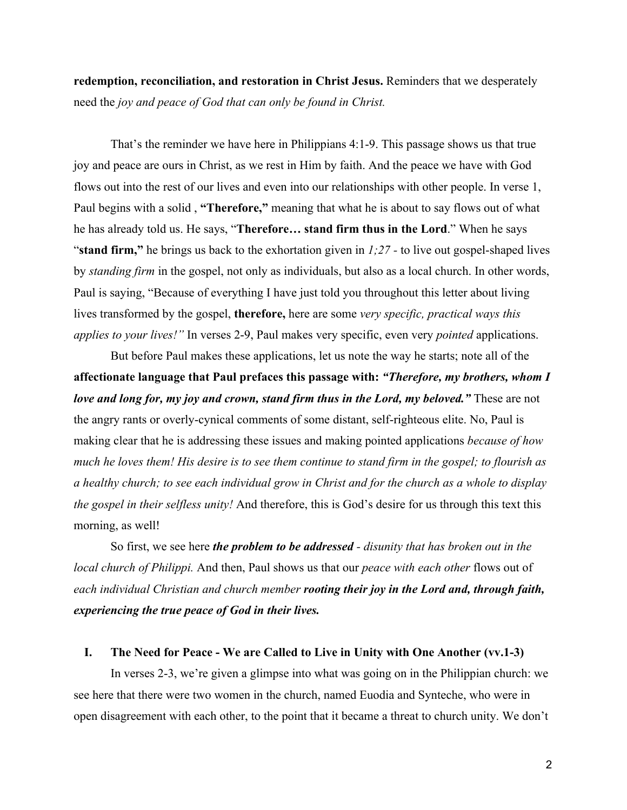**redemption, reconciliation, and restoration in Christ Jesus.** Reminders that we desperately need the *joy and peace of God that can only be found in Christ.*

That's the reminder we have here in Philippians 4:1-9. This passage shows us that true joy and peace are ours in Christ, as we rest in Him by faith. And the peace we have with God flows out into the rest of our lives and even into our relationships with other people. In verse 1, Paul begins with a solid , **"Therefore,"** meaning that what he is about to say flows out of what he has already told us. He says, "**Therefore… stand firm thus in the Lord**." When he says "**stand firm,"** he brings us back to the exhortation given in *1;27 -* to live out gospel-shaped lives by *standing firm* in the gospel, not only as individuals, but also as a local church. In other words, Paul is saying, "Because of everything I have just told you throughout this letter about living lives transformed by the gospel, **therefore,** here are some *very specific, practical ways this applies to your lives!"* In verses 2-9, Paul makes very specific, even very *pointed* applications.

But before Paul makes these applications, let us note the way he starts; note all of the **affectionate language that Paul prefaces this passage with:** *"Therefore, my brothers, whom I love and long for, my joy and crown, stand firm thus in the Lord, my beloved.*" These are not the angry rants or overly-cynical comments of some distant, self-righteous elite. No, Paul is making clear that he is addressing these issues and making pointed applications *because of how much he loves them! His desire is to see them continue to stand firm in the gospel; to flourish as a healthy church; to see each individual grow in Christ and for the church as a whole to display the gospel in their selfless unity!* And therefore, this is God's desire for us through this text this morning, as well!

So first, we see here *the problem to be addressed - disunity that has broken out in the local church of Philippi.* And then, Paul shows us that our *peace with each other* flows out of *each individual Christian and church member rooting their joy in the Lord and, through faith, experiencing the true peace of God in their lives.*

#### **I. The Need for Peace - We are Called to Live in Unity with One Another (vv.1-3)**

In verses 2-3, we're given a glimpse into what was going on in the Philippian church: we see here that there were two women in the church, named Euodia and Synteche, who were in open disagreement with each other, to the point that it became a threat to church unity. We don't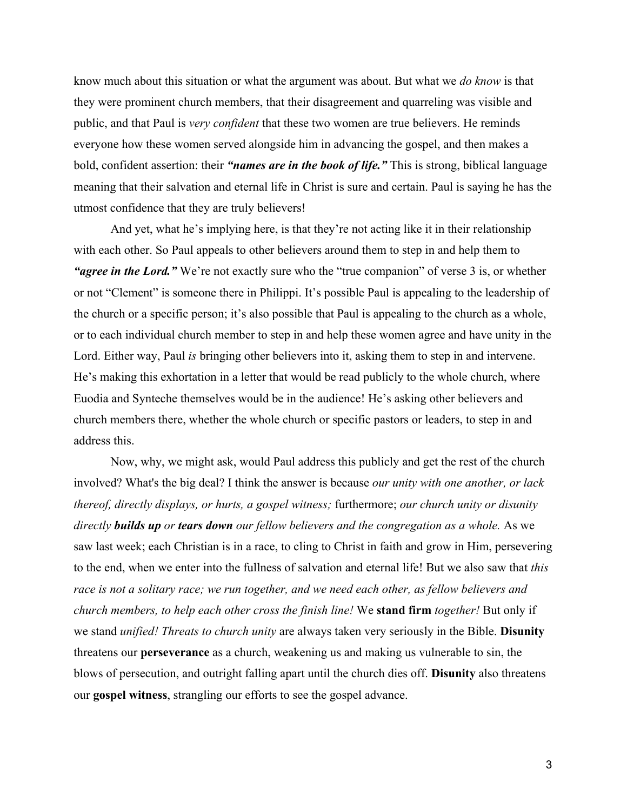know much about this situation or what the argument was about. But what we *do know* is that they were prominent church members, that their disagreement and quarreling was visible and public, and that Paul is *very confident* that these two women are true believers. He reminds everyone how these women served alongside him in advancing the gospel, and then makes a bold, confident assertion: their *"names are in the book of life."* This is strong, biblical language meaning that their salvation and eternal life in Christ is sure and certain. Paul is saying he has the utmost confidence that they are truly believers!

And yet, what he's implying here, is that they're not acting like it in their relationship with each other. So Paul appeals to other believers around them to step in and help them to *"agree in the Lord.*" We're not exactly sure who the "true companion" of verse 3 is, or whether or not "Clement" is someone there in Philippi. It's possible Paul is appealing to the leadership of the church or a specific person; it's also possible that Paul is appealing to the church as a whole, or to each individual church member to step in and help these women agree and have unity in the Lord. Either way, Paul *is* bringing other believers into it, asking them to step in and intervene. He's making this exhortation in a letter that would be read publicly to the whole church, where Euodia and Synteche themselves would be in the audience! He's asking other believers and church members there, whether the whole church or specific pastors or leaders, to step in and address this.

Now, why, we might ask, would Paul address this publicly and get the rest of the church involved? What's the big deal? I think the answer is because *our unity with one another, or lack thereof, directly displays, or hurts, a gospel witness;* furthermore; *our church unity or disunity directly builds up or tears down our fellow believers and the congregation as a whole.* As we saw last week; each Christian is in a race, to cling to Christ in faith and grow in Him, persevering to the end, when we enter into the fullness of salvation and eternal life! But we also saw that *this race is not a solitary race; we run together, and we need each other, as fellow believers and church members, to help each other cross the finish line!* We **stand firm** *together!* But only if we stand *unified! Threats to church unity* are always taken very seriously in the Bible. **Disunity** threatens our **perseverance** as a church, weakening us and making us vulnerable to sin, the blows of persecution, and outright falling apart until the church dies off. **Disunity** also threatens our **gospel witness**, strangling our efforts to see the gospel advance.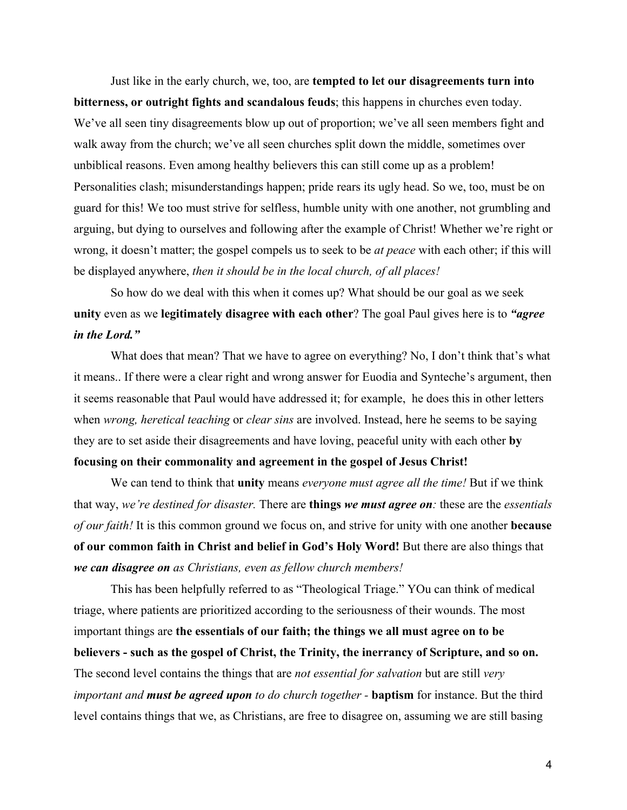Just like in the early church, we, too, are **tempted to let our disagreements turn into bitterness, or outright fights and scandalous feuds**; this happens in churches even today. We've all seen tiny disagreements blow up out of proportion; we've all seen members fight and walk away from the church; we've all seen churches split down the middle, sometimes over unbiblical reasons. Even among healthy believers this can still come up as a problem! Personalities clash; misunderstandings happen; pride rears its ugly head. So we, too, must be on guard for this! We too must strive for selfless, humble unity with one another, not grumbling and arguing, but dying to ourselves and following after the example of Christ! Whether we're right or wrong, it doesn't matter; the gospel compels us to seek to be *at peace* with each other; if this will be displayed anywhere, *then it should be in the local church, of all places!*

So how do we deal with this when it comes up? What should be our goal as we seek **unity** even as we **legitimately disagree with each other**? The goal Paul gives here is to *"agree in the Lord."*

What does that mean? That we have to agree on everything? No, I don't think that's what it means.. If there were a clear right and wrong answer for Euodia and Synteche's argument, then it seems reasonable that Paul would have addressed it; for example, he does this in other letters when *wrong, heretical teaching* or *clear sins* are involved. Instead, here he seems to be saying they are to set aside their disagreements and have loving, peaceful unity with each other **by focusing on their commonality and agreement in the gospel of Jesus Christ!**

We can tend to think that **unity** means *everyone must agree all the time!* But if we think that way, *we're destined for disaster.* There are **things** *we must agree on:* these are the *essentials of our faith!* It is this common ground we focus on, and strive for unity with one another **because of our common faith in Christ and belief in God's Holy Word!** But there are also things that *we can disagree on as Christians, even as fellow church members!*

This has been helpfully referred to as "Theological Triage." YOu can think of medical triage, where patients are prioritized according to the seriousness of their wounds. The most important things are **the essentials of our faith; the things we all must agree on to be believers - such as the gospel of Christ, the Trinity, the inerrancy of Scripture, and so on.** The second level contains the things that are *not essential for salvation* but are still *very important and must be agreed upon to do church together -* **baptism** for instance. But the third level contains things that we, as Christians, are free to disagree on, assuming we are still basing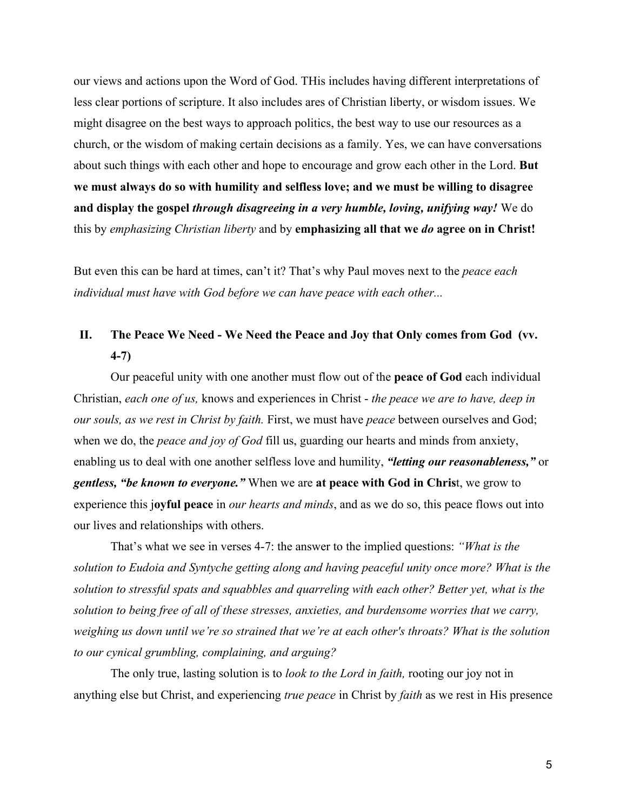our views and actions upon the Word of God. THis includes having different interpretations of less clear portions of scripture. It also includes ares of Christian liberty, or wisdom issues. We might disagree on the best ways to approach politics, the best way to use our resources as a church, or the wisdom of making certain decisions as a family. Yes, we can have conversations about such things with each other and hope to encourage and grow each other in the Lord. **But we must always do so with humility and selfless love; and we must be willing to disagree and display the gospel** *through disagreeing in a very humble, loving, unifying way!* We do this by *emphasizing Christian liberty* and by **emphasizing all that we** *do* **agree on in Christ!**

But even this can be hard at times, can't it? That's why Paul moves next to the *peace each individual must have with God before we can have peace with each other...*

### **II. The Peace We Need - We Need the Peace and Joy that Only comes from God (vv. 4-7)**

Our peaceful unity with one another must flow out of the **peace of God** each individual Christian, *each one of us,* knows and experiences in Christ - *the peace we are to have, deep in our souls, as we rest in Christ by faith.* First, we must have *peace* between ourselves and God; when we do, the *peace and joy of God* fill us, guarding our hearts and minds from anxiety, enabling us to deal with one another selfless love and humility, *"letting our reasonableness,"* or *gentless, "be known to everyone."* When we are **at peace with God in Chris**t, we grow to experience this j**oyful peace** in *our hearts and minds*, and as we do so, this peace flows out into our lives and relationships with others.

That's what we see in verses 4-7: the answer to the implied questions: *"What is the solution to Eudoia and Syntyche getting along and having peaceful unity once more? What is the solution to stressful spats and squabbles and quarreling with each other? Better yet, what is the solution to being free of all of these stresses, anxieties, and burdensome worries that we carry, weighing us down until we're so strained that we're at each other's throats? What is the solution to our cynical grumbling, complaining, and arguing?*

The only true, lasting solution is to *look to the Lord in faith,* rooting our joy not in anything else but Christ, and experiencing *true peace* in Christ by *faith* as we rest in His presence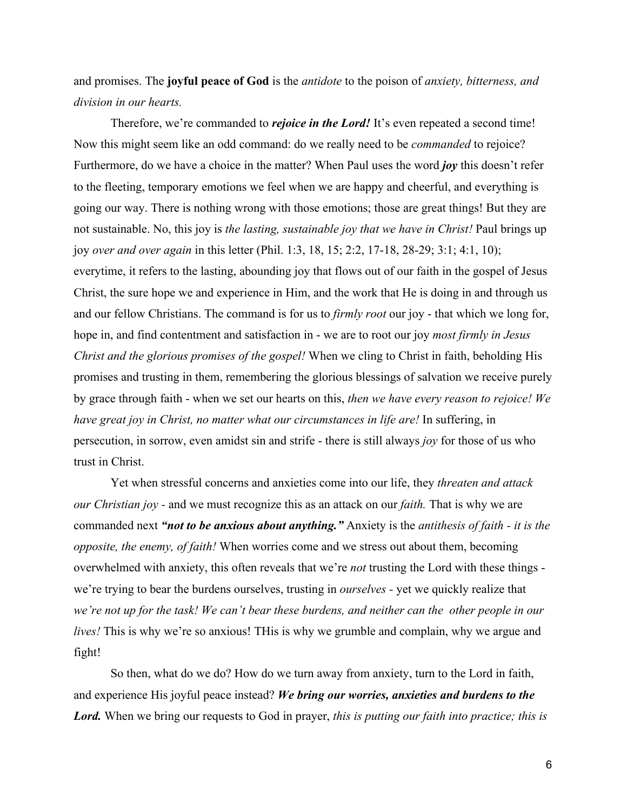and promises. The **joyful peace of God** is the *antidote* to the poison of *anxiety, bitterness, and division in our hearts.*

Therefore, we're commanded to *rejoice in the Lord!* It's even repeated a second time! Now this might seem like an odd command: do we really need to be *commanded* to rejoice? Furthermore, do we have a choice in the matter? When Paul uses the word *joy* this doesn't refer to the fleeting, temporary emotions we feel when we are happy and cheerful, and everything is going our way. There is nothing wrong with those emotions; those are great things! But they are not sustainable. No, this joy is *the lasting, sustainable joy that we have in Christ!* Paul brings up joy *over and over again* in this letter (Phil. 1:3, 18, 15; 2:2, 17-18, 28-29; 3:1; 4:1, 10); everytime, it refers to the lasting, abounding joy that flows out of our faith in the gospel of Jesus Christ, the sure hope we and experience in Him, and the work that He is doing in and through us and our fellow Christians. The command is for us to *firmly root* our joy - that which we long for, hope in, and find contentment and satisfaction in - we are to root our joy *most firmly in Jesus Christ and the glorious promises of the gospel!* When we cling to Christ in faith, beholding His promises and trusting in them, remembering the glorious blessings of salvation we receive purely by grace through faith - when we set our hearts on this, *then we have every reason to rejoice! We have great joy in Christ, no matter what our circumstances in life are!* In suffering, in persecution, in sorrow, even amidst sin and strife - there is still always *joy* for those of us who trust in Christ.

Yet when stressful concerns and anxieties come into our life, they *threaten and attack our Christian joy -* and we must recognize this as an attack on our *faith.* That is why we are commanded next *"not to be anxious about anything."* Anxiety is the *antithesis of faith - it is the opposite, the enemy, of faith!* When worries come and we stress out about them, becoming overwhelmed with anxiety, this often reveals that we're *not* trusting the Lord with these things we're trying to bear the burdens ourselves, trusting in *ourselves -* yet we quickly realize that *we're not up for the task! We can't bear these burdens, and neither can the other people in our lives!* This is why we're so anxious! THis is why we grumble and complain, why we argue and fight!

So then, what do we do? How do we turn away from anxiety, turn to the Lord in faith, and experience His joyful peace instead? *We bring our worries, anxieties and burdens to the Lord.* When we bring our requests to God in prayer, *this is putting our faith into practice; this is*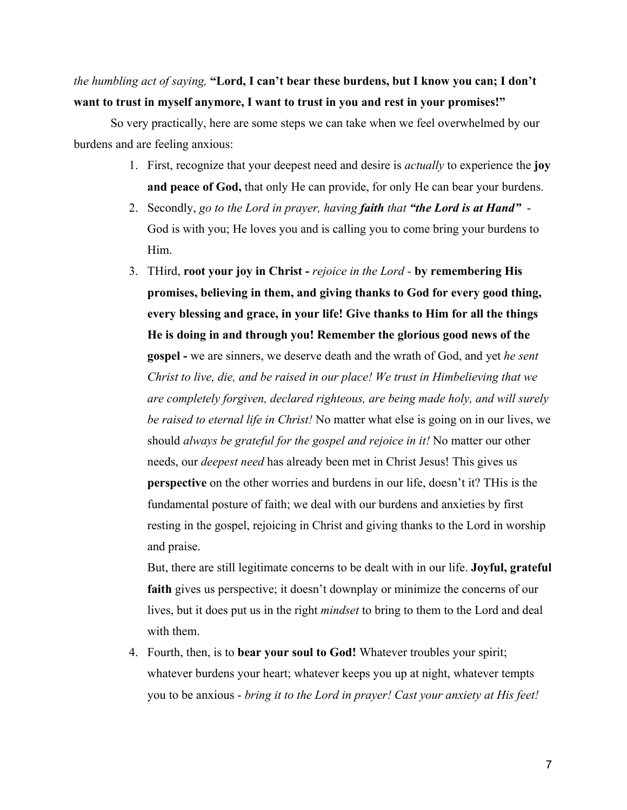### *the humbling act of saying,* **"Lord, I can't bear these burdens, but I know you can; I don't want to trust in myself anymore, I want to trust in you and rest in your promises!"**

So very practically, here are some steps we can take when we feel overwhelmed by our burdens and are feeling anxious:

- 1. First, recognize that your deepest need and desire is *actually* to experience the **joy and peace of God,** that only He can provide, for only He can bear your burdens.
- 2. Secondly, *go to the Lord in prayer, having faith that "the Lord is at Hand"*  God is with you; He loves you and is calling you to come bring your burdens to Him.
- 3. THird, **root your joy in Christ** *rejoice in the Lord* **by remembering His promises, believing in them, and giving thanks to God for every good thing, every blessing and grace, in your life! Give thanks to Him for all the things He is doing in and through you! Remember the glorious good news of the gospel -** we are sinners, we deserve death and the wrath of God, and yet *he sent Christ to live, die, and be raised in our place! We trust in Himbelieving that we are completely forgiven, declared righteous, are being made holy, and will surely be raised to eternal life in Christ!* No matter what else is going on in our lives, we should *always be grateful for the gospel and rejoice in it!* No matter our other needs, our *deepest need* has already been met in Christ Jesus! This gives us **perspective** on the other worries and burdens in our life, doesn't it? THis is the fundamental posture of faith; we deal with our burdens and anxieties by first resting in the gospel, rejoicing in Christ and giving thanks to the Lord in worship and praise.

But, there are still legitimate concerns to be dealt with in our life. **Joyful, grateful** faith gives us perspective; it doesn't downplay or minimize the concerns of our lives, but it does put us in the right *mindset* to bring to them to the Lord and deal with them.

4. Fourth, then, is to **bear your soul to God!** Whatever troubles your spirit; whatever burdens your heart; whatever keeps you up at night, whatever tempts you to be anxious - *bring it to the Lord in prayer! Cast your anxiety at His feet!*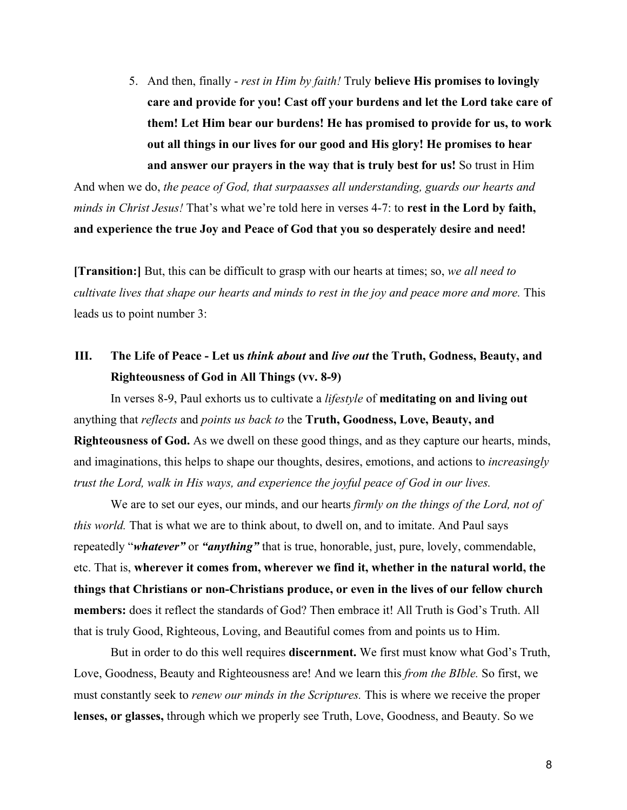5. And then, finally - *rest in Him by faith!* Truly **believe His promises to lovingly care and provide for you! Cast off your burdens and let the Lord take care of them! Let Him bear our burdens! He has promised to provide for us, to work out all things in our lives for our good and His glory! He promises to hear and answer our prayers in the way that is truly best for us!** So trust in Him

And when we do, *the peace of God, that surpaasses all understanding, guards our hearts and minds in Christ Jesus!* That's what we're told here in verses 4-7: to **rest in the Lord by faith, and experience the true Joy and Peace of God that you so desperately desire and need!**

**[Transition:]** But, this can be difficult to grasp with our hearts at times; so, *we all need to cultivate lives that shape our hearts and minds to rest in the joy and peace more and more.* This leads us to point number 3:

## **III. The Life of Peace - Let us** *think about* **and** *live out* **the Truth, Godness, Beauty, and Righteousness of God in All Things (vv. 8-9)**

In verses 8-9, Paul exhorts us to cultivate a *lifestyle* of **meditating on and living out** anything that *reflects* and *points us back to* the **Truth, Goodness, Love, Beauty, and Righteousness of God.** As we dwell on these good things, and as they capture our hearts, minds, and imaginations, this helps to shape our thoughts, desires, emotions, and actions to *increasingly trust the Lord, walk in His ways, and experience the joyful peace of God in our lives.*

We are to set our eyes, our minds, and our hearts *firmly on the things of the Lord, not of this world.* That is what we are to think about, to dwell on, and to imitate. And Paul says repeatedly "*whatever"* or *"anything"* that is true, honorable, just, pure, lovely, commendable, etc. That is, **wherever it comes from, wherever we find it, whether in the natural world, the things that Christians or non-Christians produce, or even in the lives of our fellow church members:** does it reflect the standards of God? Then embrace it! All Truth is God's Truth. All that is truly Good, Righteous, Loving, and Beautiful comes from and points us to Him.

But in order to do this well requires **discernment.** We first must know what God's Truth, Love, Goodness, Beauty and Righteousness are! And we learn this *from the BIble.* So first, we must constantly seek to *renew our minds in the Scriptures.* This is where we receive the proper **lenses, or glasses,** through which we properly see Truth, Love, Goodness, and Beauty. So we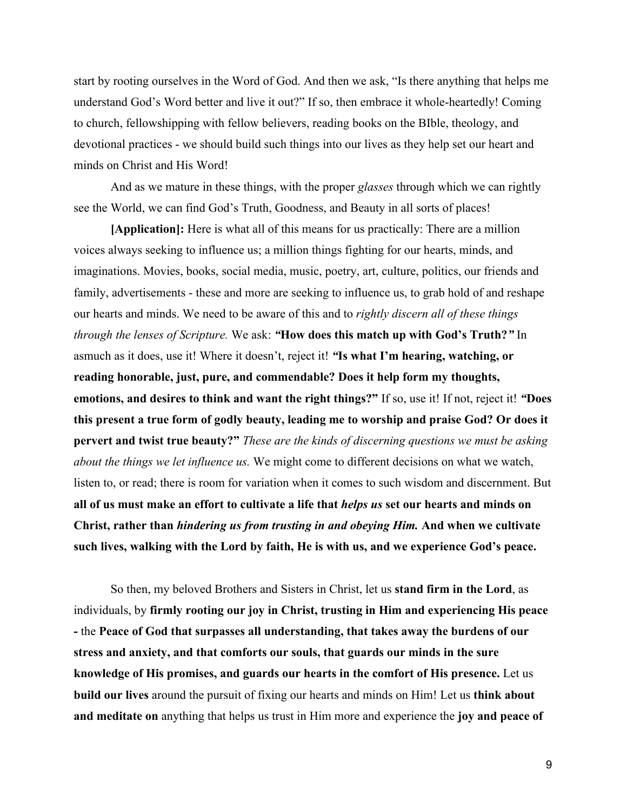start by rooting ourselves in the Word of God. And then we ask, "Is there anything that helps me understand God's Word better and live it out?" If so, then embrace it whole-heartedly! Coming to church, fellowshipping with fellow believers, reading books on the BIble, theology, and devotional practices - we should build such things into our lives as they help set our heart and minds on Christ and His Word!

And as we mature in these things, with the proper *glasses* through which we can rightly see the World, we can find God's Truth, Goodness, and Beauty in all sorts of places!

**[Application]:** Here is what all of this means for us practically: There are a million voices always seeking to influence us; a million things fighting for our hearts, minds, and imaginations. Movies, books, social media, music, poetry, art, culture, politics, our friends and family, advertisements - these and more are seeking to influence us, to grab hold of and reshape our hearts and minds. We need to be aware of this and to *rightly discern all of these things through the lenses of Scripture.* We ask: *"***How does this match up with God's Truth?***"* In asmuch as it does, use it! Where it doesn't, reject it! *"***Is what I'm hearing, watching, or reading honorable, just, pure, and commendable? Does it help form my thoughts, emotions, and desires to think and want the right things?"** If so, use it! If not, reject it! *"***Does this present a true form of godly beauty, leading me to worship and praise God? Or does it pervert and twist true beauty?"** *These are the kinds of discerning questions we must be asking about the things we let influence us.* We might come to different decisions on what we watch, listen to, or read; there is room for variation when it comes to such wisdom and discernment. But **all of us must make an effort to cultivate a life that** *helps us* **set our hearts and minds on Christ, rather than** *hindering us from trusting in and obeying Him.* **And when we cultivate such lives, walking with the Lord by faith, He is with us, and we experience God's peace.**

So then, my beloved Brothers and Sisters in Christ, let us **stand firm in the Lord**, as individuals, by **firmly rooting our joy in Christ, trusting in Him and experiencing His peace -** the **Peace of God that surpasses all understanding, that takes away the burdens of our stress and anxiety, and that comforts our souls, that guards our minds in the sure knowledge of His promises, and guards our hearts in the comfort of His presence.** Let us **build our lives** around the pursuit of fixing our hearts and minds on Him! Let us **think about and meditate on** anything that helps us trust in Him more and experience the **joy and peace of**